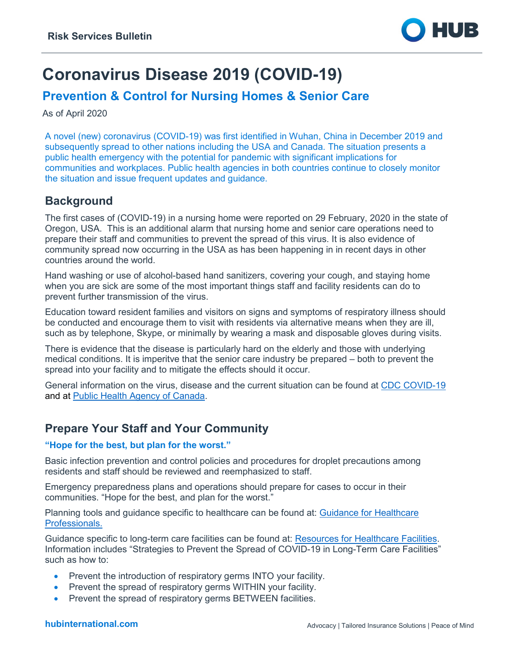

# **Coronavirus Disease 2019 (COVID-19)**

# **Prevention & Control for Nursing Homes & Senior Care**

As of April 2020

A novel (new) coronavirus (COVID-19) was first identified in Wuhan, China in December 2019 and subsequently spread to other nations including the USA and Canada. The situation presents a public health emergency with the potential for pandemic with significant implications for communities and workplaces. Public health agencies in both countries continue to closely monitor the situation and issue frequent updates and guidance.

### **Background**

The first cases of (COVID-19) in a nursing home were reported on 29 February, 2020 in the state of Oregon, USA. This is an additional alarm that nursing home and senior care operations need to prepare their staff and communities to prevent the spread of this virus. It is also evidence of community spread now occurring in the USA as has been happening in in recent days in other countries around the world.

Hand washing or use of alcohol-based hand sanitizers, covering your cough, and staying home when you are sick are some of the most important things staff and facility residents can do to prevent further transmission of the virus.

Education toward resident families and visitors on signs and symptoms of respiratory illness should be conducted and encourage them to visit with residents via alternative means when they are ill, such as by telephone, Skype, or minimally by wearing a mask and disposable gloves during visits.

There is evidence that the disease is particularly hard on the elderly and those with underlying medical conditions. It is imperitve that the senior care industry be prepared – both to prevent the spread into your facility and to mitigate the effects should it occur.

General information on the virus, disease and the current situation can be found at [CDC COVID-19](https://www.cdc.gov/coronavirus/2019-ncov/index.html) and at [Public Health Agency of Canada.](https://www.canada.ca/en/public-health.html)

# **Prepare Your Staff and Your Community**

#### **"Hope for the best, but plan for the worst."**

Basic infection prevention and control policies and procedures for droplet precautions among residents and staff should be reviewed and reemphasized to staff.

Emergency preparedness plans and operations should prepare for cases to occur in their communities. "Hope for the best, and plan for the worst."

Planning tools and guidance specific to healthcare can be found at: [Guidance for Healthcare](https://www.cdc.gov/coronavirus/2019-nCoV/hcp/index.html)  [Professionals.](https://www.cdc.gov/coronavirus/2019-nCoV/hcp/index.html) 

Guidance specific to long-term care facilities can be found at: [Resources for Healthcare Facilities.](https://www.cdc.gov/coronavirus/2019-ncov/healthcare-facilities/index.html) Information includes "Strategies to Prevent the Spread of COVID-19 in Long-Term Care Facilities" such as how to:

- Prevent the introduction of respiratory germs INTO your facility.
- Prevent the spread of respiratory germs WITHIN your facility.
- Prevent the spread of respiratory germs BETWEEN facilities.

#### **hubinternational.com**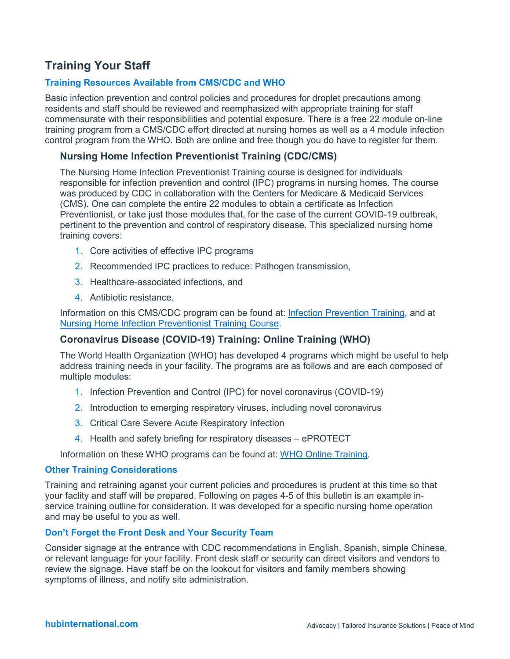# **Training Your Staff**

#### **Training Resources Available from CMS/CDC and WHO**

Basic infection prevention and control policies and procedures for droplet precautions among residents and staff should be reviewed and reemphasized with appropriate training for staff commensurate with their responsibilities and potential exposure. There is a free 22 module on-line training program from a CMS/CDC effort directed at nursing homes as well as a 4 module infection control program from the WHO. Both are online and free though you do have to register for them.

#### **Nursing Home Infection Preventionist Training (CDC/CMS)**

The Nursing Home Infection Preventionist Training course is designed for individuals responsible for infection prevention and control (IPC) programs in nursing homes. The course was produced by CDC in collaboration with the Centers for Medicare & Medicaid Services (CMS). One can complete the entire 22 modules to obtain a certificate as Infection Preventionist, or take just those modules that, for the case of the current COVID-19 outbreak, pertinent to the prevention and control of respiratory disease. This specialized nursing home training covers:

- 1. Core activities of effective IPC programs
- 2. Recommended IPC practices to reduce: Pathogen transmission,
- 3. Healthcare-associated infections, and
- 4. Antibiotic resistance.

Information on this CMS/CDC program can be found at: [Infection Prevention Training,](https://www.cdc.gov/longtermcare/training.html) and at [Nursing Home Infection Preventionist Training Course.](https://www.train.org/cdctrain/training_plan/3814)

#### **Coronavirus Disease (COVID-19) Training: Online Training (WHO)**

The World Health Organization (WHO) has developed 4 programs which might be useful to help address training needs in your facility. The programs are as follows and are each composed of multiple modules:

- 1. Infection Prevention and Control (IPC) for novel coronavirus (COVID-19)
- 2. Introduction to emerging respiratory viruses, including novel coronavirus
- 3. Critical Care Severe Acute Respiratory Infection
- 4. Health and safety briefing for respiratory diseases ePROTECT

Information on these WHO programs can be found at: [WHO Online Training.](https://www.who.int/emergencies/diseases/novel-coronavirus-2019/training/online-training)

#### **Other Training Considerations**

Training and retraining aganst your current policies and procedures is prudent at this time so that your faclity and staff will be prepared. Following on pages 4-5 of this bulletin is an example inservice training outline for consideration. It was developed for a specific nursing home operation and may be useful to you as well.

#### **Don't Forget the Front Desk and Your Security Team**

Consider signage at the entrance with CDC recommendations in English, Spanish, simple Chinese, or relevant language for your facility. Front desk staff or security can direct visitors and vendors to review the signage. Have staff be on the lookout for visitors and family members showing symptoms of illness, and notify site administration.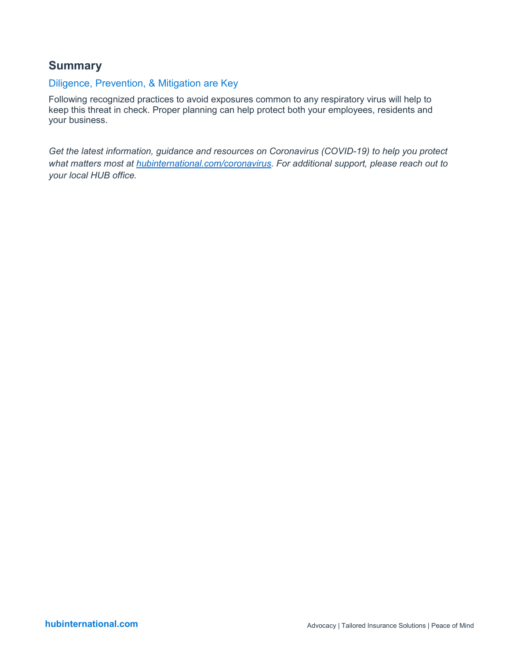# **Summary**

### Diligence, Prevention, & Mitigation are Key

Following recognized practices to avoid exposures common to any respiratory virus will help to keep this threat in check. Proper planning can help protect both your employees, residents and your business.

*Get the latest information, guidance and resources on Coronavirus (COVID-19) to help you protect what matters most at [hubinternational.com/coronavirus.](https://www.hubinternational.com/products/risk-services/hub-crisis-resources/coronavirus-resource-center/?utm_medium=resources&utm_source=covid_pdf&utm_campaign=covid_pdf_footer&utm_busunit=covid&utm_cmpyr=2020&utm_content=pdf_footer&utm_tstvar=&utm_spec=&partner=) For additional support, please reach out to your local HUB office.*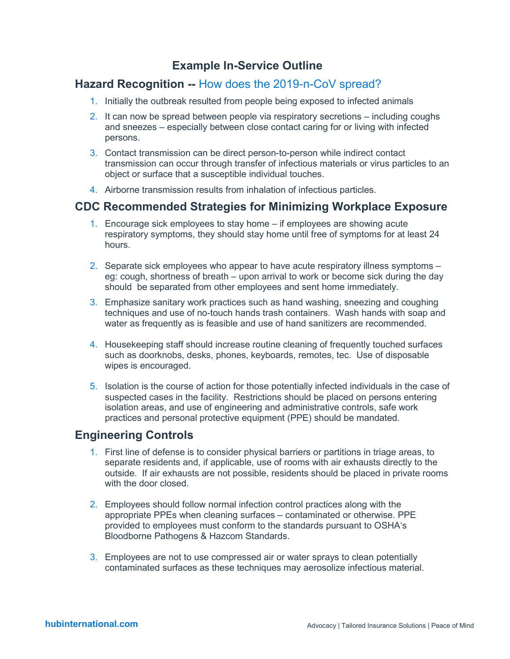# **Example In-Service Outline**

### **Hazard Recognition --** How does the 2019-n-CoV spread?

- 1. Initially the outbreak resulted from people being exposed to infected animals
- 2. It can now be spread between people via respiratory secretions including coughs and sneezes – especially between close contact caring for or living with infected persons.
- 3. Contact transmission can be direct person-to-person while indirect contact transmission can occur through transfer of infectious materials or virus particles to an object or surface that a susceptible individual touches.
- 4. Airborne transmission results from inhalation of infectious particles.

### **CDC Recommended Strategies for Minimizing Workplace Exposure**

- 1. Encourage sick employees to stay home if employees are showing acute respiratory symptoms, they should stay home until free of symptoms for at least 24 hours.
- 2. Separate sick employees who appear to have acute respiratory illness symptoms eg: cough, shortness of breath – upon arrival to work or become sick during the day should be separated from other employees and sent home immediately.
- 3. Emphasize sanitary work practices such as hand washing, sneezing and coughing techniques and use of no-touch hands trash containers. Wash hands with soap and water as frequently as is feasible and use of hand sanitizers are recommended.
- 4. Housekeeping staff should increase routine cleaning of frequently touched surfaces such as doorknobs, desks, phones, keyboards, remotes, tec. Use of disposable wipes is encouraged.
- 5. Isolation is the course of action for those potentially infected individuals in the case of suspected cases in the facility. Restrictions should be placed on persons entering isolation areas, and use of engineering and administrative controls, safe work practices and personal protective equipment (PPE) should be mandated.

### **Engineering Controls**

- 1. First line of defense is to consider physical barriers or partitions in triage areas, to separate residents and, if applicable, use of rooms with air exhausts directly to the outside. If air exhausts are not possible, residents should be placed in private rooms with the door closed.
- 2. Employees should follow normal infection control practices along with the appropriate PPEs when cleaning surfaces – contaminated or otherwise. PPE provided to employees must conform to the standards pursuant to OSHA's Bloodborne Pathogens & Hazcom Standards.
- 3. Employees are not to use compressed air or water sprays to clean potentially contaminated surfaces as these techniques may aerosolize infectious material.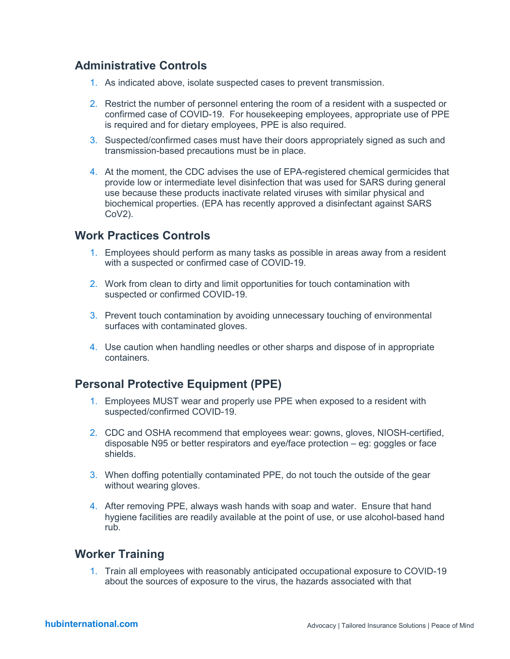# **Administrative Controls**

- 1. As indicated above, isolate suspected cases to prevent transmission.
- 2. Restrict the number of personnel entering the room of a resident with a suspected or confirmed case of COVID-19. For housekeeping employees, appropriate use of PPE is required and for dietary employees, PPE is also required.
- 3. Suspected/confirmed cases must have their doors appropriately signed as such and transmission-based precautions must be in place.
- 4. At the moment, the CDC advises the use of EPA-registered chemical germicides that provide low or intermediate level disinfection that was used for SARS during general use because these products inactivate related viruses with similar physical and biochemical properties. (EPA has recently approved a disinfectant against SARS CoV2).

### **Work Practices Controls**

- 1. Employees should perform as many tasks as possible in areas away from a resident with a suspected or confirmed case of COVID-19.
- 2. Work from clean to dirty and limit opportunities for touch contamination with suspected or confirmed COVID-19.
- 3. Prevent touch contamination by avoiding unnecessary touching of environmental surfaces with contaminated gloves.
- 4. Use caution when handling needles or other sharps and dispose of in appropriate containers.

# **Personal Protective Equipment (PPE)**

- 1. Employees MUST wear and properly use PPE when exposed to a resident with suspected/confirmed COVID-19.
- 2. CDC and OSHA recommend that employees wear: gowns, gloves, NIOSH-certified, disposable N95 or better respirators and eye/face protection – eg: goggles or face shields.
- 3. When doffing potentially contaminated PPE, do not touch the outside of the gear without wearing gloves.
- 4. After removing PPE, always wash hands with soap and water. Ensure that hand hygiene facilities are readily available at the point of use, or use alcohol-based hand rub.

### **Worker Training**

1. Train all employees with reasonably anticipated occupational exposure to COVID-19 about the sources of exposure to the virus, the hazards associated with that